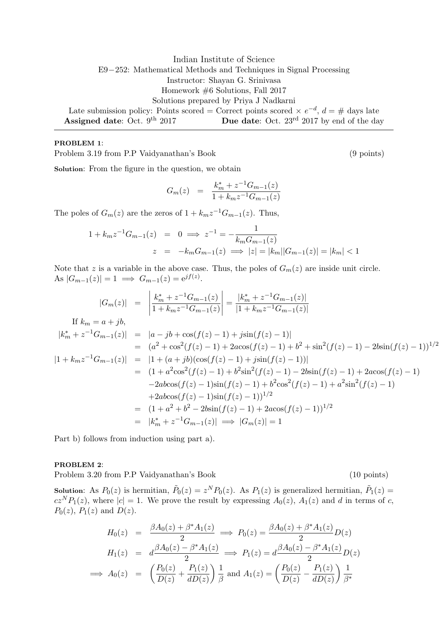Indian Institute of Science E9−252: Mathematical Methods and Techniques in Signal Processing Instructor: Shayan G. Srinivasa Homework #6 Solutions, Fall 2017 Solutions prepared by Priya J Nadkarni Late submission policy: Points scored = Correct points scored  $\times e^{-d}$ ,  $d = \#$  days late Assigned date: Oct. 9<sup>th</sup> 2017 **Due date:** Oct. 23<sup>rd</sup> 2017 by end of the day

## PROBLEM 1:

Problem 3.19 from P.P Vaidyanathan's Book (9 points)

Solution: From the figure in the question, we obtain

$$
G_m(z) = \frac{k_m^* + z^{-1} G_{m-1}(z)}{1 + k_m z^{-1} G_{m-1}(z)}
$$

The poles of  $G_m(z)$  are the zeros of  $1 + k_m z^{-1} G_{m-1}(z)$ . Thus,

$$
1 + k_m z^{-1} G_{m-1}(z) = 0 \implies z^{-1} = -\frac{1}{k_m G_{m-1}(z)}
$$
  

$$
z = -k_m G_{m-1}(z) \implies |z| = |k_m||G_{m-1}(z)| = |k_m| < 1
$$

Note that z is a variable in the above case. Thus, the poles of  $G_m(z)$  are inside unit circle. As  $|G_{m-1}(z)| = 1 \implies G_{m-1}(z) = e^{jf(z)}$ .

$$
|G_m(z)| = \left| \frac{k_m^* + z^{-1}G_{m-1}(z)}{1 + k_m z^{-1}G_{m-1}(z)} \right| = \frac{|k_m^* + z^{-1}G_{m-1}(z)|}{|1 + k_m z^{-1}G_{m-1}(z)|}
$$
  
If  $k_m = a + jb$ ,  

$$
|k_m^* + z^{-1}G_{m-1}(z)| = |a - jb + \cos(f(z) - 1) + j\sin(f(z) - 1)|
$$

$$
= (a^2 + \cos^2(f(z) - 1) + 2a\cos(f(z) - 1) + b^2 + \sin^2(f(z) - 1) - 2b\sin(f(z) - 1))^{1/2}
$$

$$
|1 + k_m z^{-1}G_{m-1}(z)| = |1 + (a + jb)(\cos(f(z) - 1) + j\sin(f(z) - 1))|
$$

$$
= (1 + a^2 \cos^2(f(z) - 1) + b^2 \sin^2(f(z) - 1) - 2b\sin(f(z) - 1) + 2a\cos(f(z) - 1)
$$

$$
-2ab\cos(f(z) - 1)\sin(f(z) - 1) + b^2 \cos^2(f(z) - 1) + a^2 \sin^2(f(z) - 1)
$$

$$
+ 2ab\cos(f(z) - 1)\sin(f(z) - 1))^{1/2}
$$

$$
= (1 + a^2 + b^2 - 2b\sin(f(z) - 1) + 2a\cos(f(z) - 1))^{1/2}
$$

$$
= |k_m^* + z^{-1}G_{m-1}(z)| \implies |G_m(z)| = 1
$$

Part b) follows from induction using part a).

PROBLEM 2:

Problem 3.20 from P.P Vaidyanathan's Book (10 points)

**Solution:** As  $P_0(z)$  is hermitian,  $\tilde{P}_0(z) = z^N P_0(z)$ . As  $P_1(z)$  is generalized hermitian,  $\tilde{P}_1(z) =$  $cz^N P_1(z)$ , where  $|c|=1$ . We prove the result by expressing  $A_0(z)$ ,  $A_1(z)$  and d in terms of c,  $P_0(z)$ ,  $P_1(z)$  and  $D(z)$ .

$$
H_0(z) = \frac{\beta A_0(z) + \beta^* A_1(z)}{2} \implies P_0(z) = \frac{\beta A_0(z) + \beta^* A_1(z)}{2} D(z)
$$
  
\n
$$
H_1(z) = d \frac{\beta A_0(z) - \beta^* A_1(z)}{2} \implies P_1(z) = d \frac{\beta A_0(z) - \beta^* A_1(z)}{2} D(z)
$$
  
\n
$$
\implies A_0(z) = \left(\frac{P_0(z)}{D(z)} + \frac{P_1(z)}{dD(z)}\right) \frac{1}{\beta} \text{ and } A_1(z) = \left(\frac{P_0(z)}{D(z)} - \frac{P_1(z)}{dD(z)}\right) \frac{1}{\beta^*}
$$